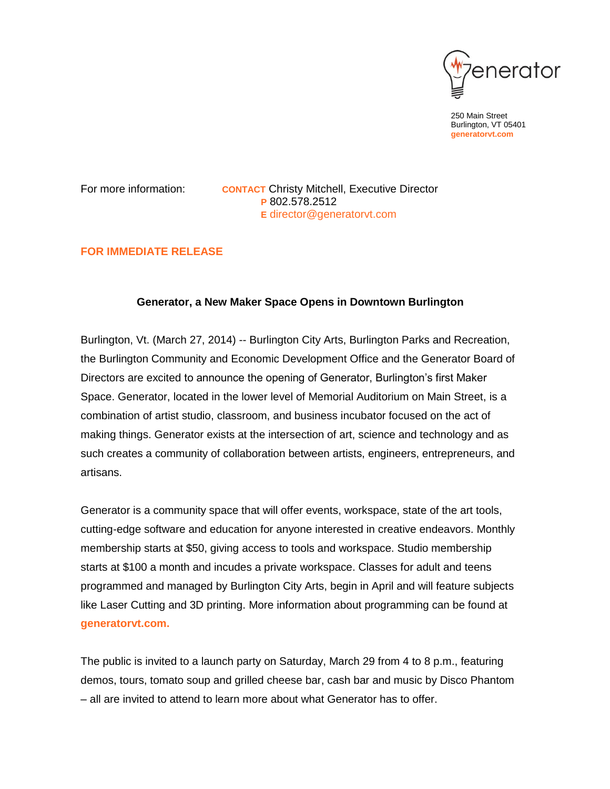

250 Main Street Burlington, VT 05401 **generatorvt.com**

For more information: **CONTACT** Christy Mitchell, Executive Director **P** 802.578.2512 **E** [director@generatorvt.com](mailto:director@generatorvt.com)

# **FOR IMMEDIATE RELEASE**

# **Generator, a New Maker Space Opens in Downtown Burlington**

Burlington, Vt. (March 27, 2014) -- Burlington City Arts, Burlington Parks and Recreation, the Burlington Community and Economic Development Office and the Generator Board of Directors are excited to announce the opening of Generator, Burlington's first Maker Space. Generator, located in the lower level of Memorial Auditorium on Main Street, is a combination of artist studio, classroom, and business incubator focused on the act of making things. Generator exists at the intersection of art, science and technology and as such creates a community of collaboration between artists, engineers, entrepreneurs, and artisans.

Generator is a community space that will offer events, workspace, state of the art tools, cutting-edge software and education for anyone interested in creative endeavors. Monthly membership starts at \$50, giving access to tools and workspace. Studio membership starts at \$100 a month and incudes a private workspace. Classes for adult and teens programmed and managed by Burlington City Arts, begin in April and will feature subjects like Laser Cutting and 3D printing. More information about programming can be found at **generatorvt.com.**

The public is invited to a launch party on Saturday, March 29 from 4 to 8 p.m., featuring demos, tours, tomato soup and grilled cheese bar, cash bar and music by Disco Phantom – all are invited to attend to learn more about what Generator has to offer.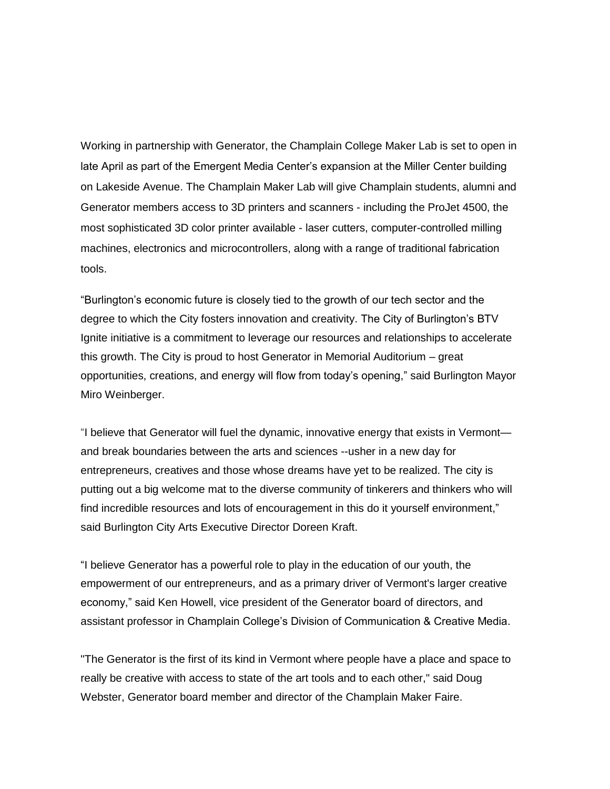Working in partnership with Generator, the Champlain College Maker Lab is set to open in late April as part of the Emergent Media Center's expansion at the Miller Center building on Lakeside Avenue. The Champlain Maker Lab will give Champlain students, alumni and Generator members access to 3D printers and scanners - including the ProJet 4500, the most sophisticated 3D color printer available - laser cutters, computer-controlled milling machines, electronics and microcontrollers, along with a range of traditional fabrication tools.

"Burlington's economic future is closely tied to the growth of our tech sector and the degree to which the City fosters innovation and creativity. The City of Burlington's BTV Ignite initiative is a commitment to leverage our resources and relationships to accelerate this growth. The City is proud to host Generator in Memorial Auditorium – great opportunities, creations, and energy will flow from today's opening," said Burlington Mayor Miro Weinberger.

"I believe that Generator will fuel the dynamic, innovative energy that exists in Vermont and break boundaries between the arts and sciences --usher in a new day for entrepreneurs, creatives and those whose dreams have yet to be realized. The city is putting out a big welcome mat to the diverse community of tinkerers and thinkers who will find incredible resources and lots of encouragement in this do it yourself environment," said Burlington City Arts Executive Director Doreen Kraft.

"I believe Generator has a powerful role to play in the education of our youth, the empowerment of our entrepreneurs, and as a primary driver of Vermont's larger creative economy," said Ken Howell, vice president of the Generator board of directors, and assistant professor in Champlain College's Division of Communication & Creative Media.

"The Generator is the first of its kind in Vermont where people have a place and space to really be creative with access to state of the art tools and to each other," said Doug Webster, Generator board member and director of the Champlain Maker Faire.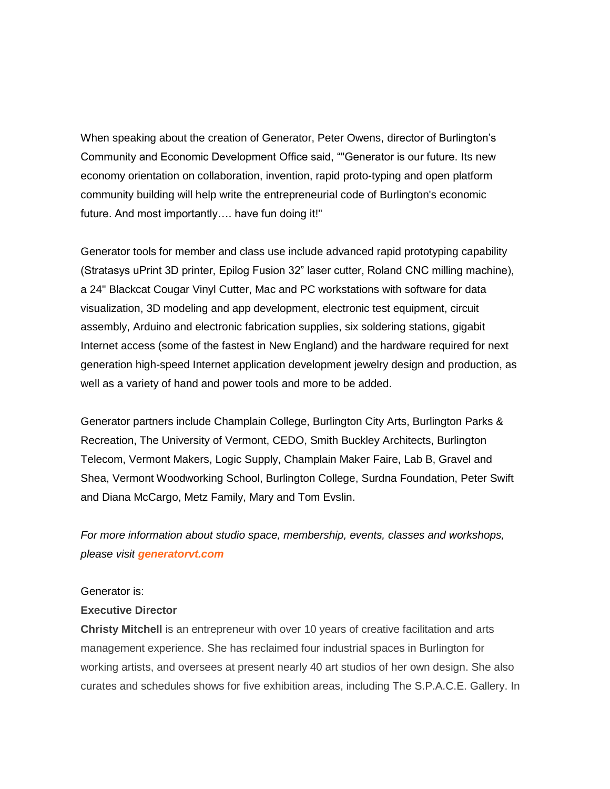When speaking about the creation of Generator, Peter Owens, director of Burlington's Community and Economic Development Office said, ""Generator is our future. Its new economy orientation on collaboration, invention, rapid proto-typing and open platform community building will help write the entrepreneurial code of Burlington's economic future. And most importantly.... have fun doing it!"

Generator tools for member and class use include advanced rapid prototyping capability (Stratasys uPrint 3D printer, Epilog Fusion 32" laser cutter, Roland CNC milling machine), a 24" Blackcat Cougar Vinyl Cutter, Mac and PC workstations with software for data visualization, 3D modeling and app development, electronic test equipment, circuit assembly, Arduino and electronic fabrication supplies, six soldering stations, gigabit Internet access (some of the fastest in New England) and the hardware required for next generation high-speed Internet application development jewelry design and production, as well as a variety of hand and power tools and more to be added.

Generator partners include Champlain College, Burlington City Arts, Burlington Parks & Recreation, The University of Vermont, CEDO, Smith Buckley Architects, Burlington Telecom, Vermont Makers, Logic Supply, Champlain Maker Faire, Lab B, Gravel and Shea, Vermont Woodworking School, Burlington College, Surdna Foundation, Peter Swift and Diana McCargo, Metz Family, Mary and Tom Evslin.

*For more information about studio space, membership, events, classes and workshops, please visit generatorvt.com*

### Generator is:

## **Executive Director**

**Christy Mitchell** is an entrepreneur with over 10 years of creative facilitation and arts management experience. She has reclaimed four industrial spaces in Burlington for working artists, and oversees at present nearly 40 art studios of her own design. She also curates and schedules shows for five exhibition areas, including The S.P.A.C.E. Gallery. In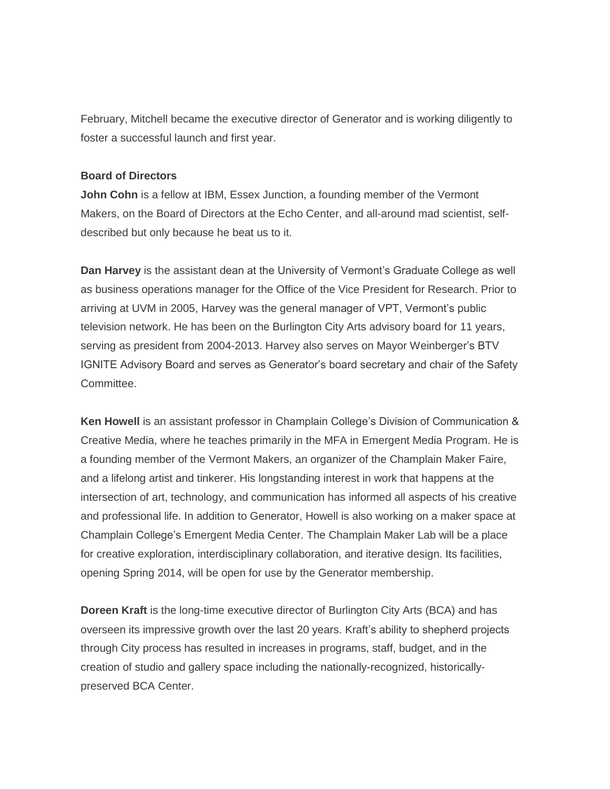February, Mitchell became the executive director of Generator and is working diligently to foster a successful launch and first year.

# **Board of Directors**

**John Cohn** is a fellow at IBM, Essex Junction, a founding member of the Vermont Makers, on the Board of Directors at the Echo Center, and all-around mad scientist, selfdescribed but only because he beat us to it.

**Dan Harvey** is the assistant dean at the University of Vermont's Graduate College as well as business operations manager for the Office of the Vice President for Research. Prior to arriving at UVM in 2005, Harvey was the general manager of VPT, Vermont's public television network. He has been on the Burlington City Arts advisory board for 11 years, serving as president from 2004-2013. Harvey also serves on Mayor Weinberger's BTV IGNITE Advisory Board and serves as Generator's board secretary and chair of the Safety Committee.

**Ken Howell** is an assistant professor in Champlain College's Division of Communication & Creative Media, where he teaches primarily in the MFA in Emergent Media Program. He is a founding member of the Vermont Makers, an organizer of the Champlain Maker Faire, and a lifelong artist and tinkerer. His longstanding interest in work that happens at the intersection of art, technology, and communication has informed all aspects of his creative and professional life. In addition to Generator, Howell is also working on a maker space at Champlain College's Emergent Media Center. The Champlain Maker Lab will be a place for creative exploration, interdisciplinary collaboration, and iterative design. Its facilities, opening Spring 2014, will be open for use by the Generator membership.

**Doreen Kraft** is the long-time executive director of Burlington City Arts (BCA) and has overseen its impressive growth over the last 20 years. Kraft's ability to shepherd projects through City process has resulted in increases in programs, staff, budget, and in the creation of studio and gallery space including the nationally-recognized, historicallypreserved BCA Center.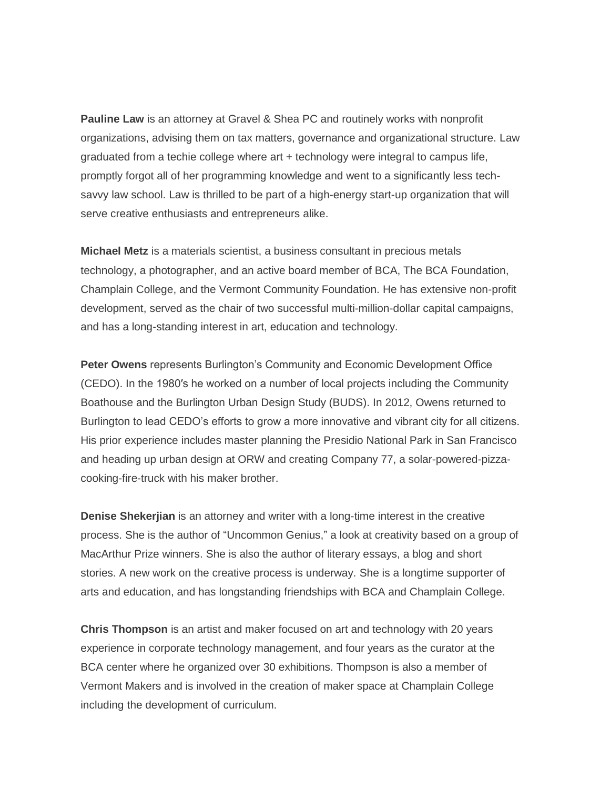**Pauline Law** is an attorney at Gravel & Shea PC and routinely works with nonprofit organizations, advising them on tax matters, governance and organizational structure. Law graduated from a techie college where art + technology were integral to campus life, promptly forgot all of her programming knowledge and went to a significantly less techsavvy law school. Law is thrilled to be part of a high-energy start-up organization that will serve creative enthusiasts and entrepreneurs alike.

**Michael Metz** is a materials scientist, a business consultant in precious metals technology, a photographer, and an active board member of BCA, The BCA Foundation, Champlain College, and the Vermont Community Foundation. He has extensive non-profit development, served as the chair of two successful multi-million-dollar capital campaigns, and has a long-standing interest in art, education and technology.

**Peter Owens** represents Burlington's Community and Economic Development Office (CEDO). In the 1980′s he worked on a number of local projects including the Community Boathouse and the Burlington Urban Design Study (BUDS). In 2012, Owens returned to Burlington to lead CEDO's efforts to grow a more innovative and vibrant city for all citizens. His prior experience includes master planning the Presidio National Park in San Francisco and heading up urban design at ORW and creating Company 77, a solar-powered-pizzacooking-fire-truck with his maker brother.

**Denise Shekerjian** is an attorney and writer with a long-time interest in the creative process. She is the author of "Uncommon Genius," a look at creativity based on a group of MacArthur Prize winners. She is also the author of literary essays, a blog and short stories. A new work on the creative process is underway. She is a longtime supporter of arts and education, and has longstanding friendships with BCA and Champlain College.

**Chris Thompson** is an artist and maker focused on art and technology with 20 years experience in corporate technology management, and four years as the curator at the BCA center where he organized over 30 exhibitions. Thompson is also a member of Vermont Makers and is involved in the creation of maker space at Champlain College including the development of curriculum.